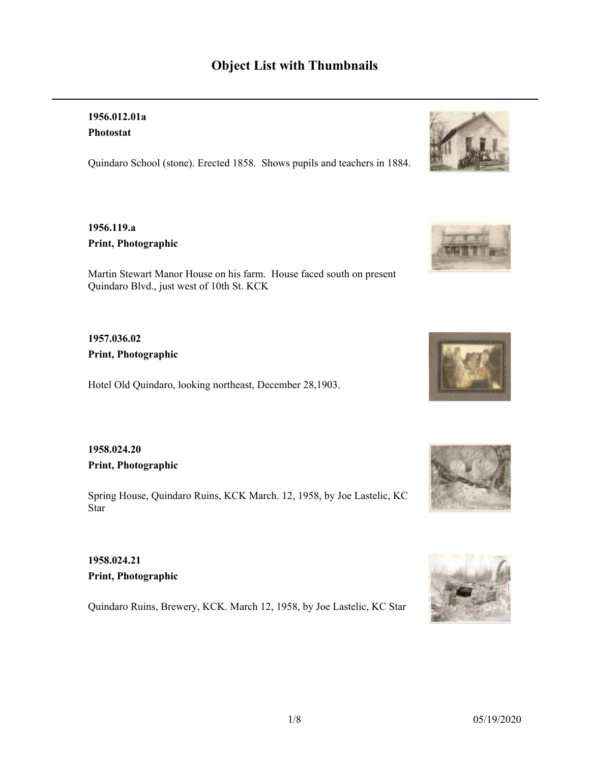# **Object List with Thumbnails**

### **1956.012.01a Photostat**

Quindaro School (stone). Erected 1858. Shows pupils and teachers in 1884.

### **1956.119.a Print, Photographic**

Martin Stewart Manor House on his farm. House faced south on present Quindaro Blvd., just west of 10th St. KCK

### **1957.036.02 Print, Photographic**

Hotel Old Quindaro, looking northeast, December 28,1903.

### **1958.024.20 Print, Photographic**

Spring House, Quindaro Ruins, KCK March. 12, 1958, by Joe Lastelic, KC Star

## **1958.024.21 Print, Photographic**

Quindaro Ruins, Brewery, KCK. March 12, 1958, by Joe Lastelic, KC Star









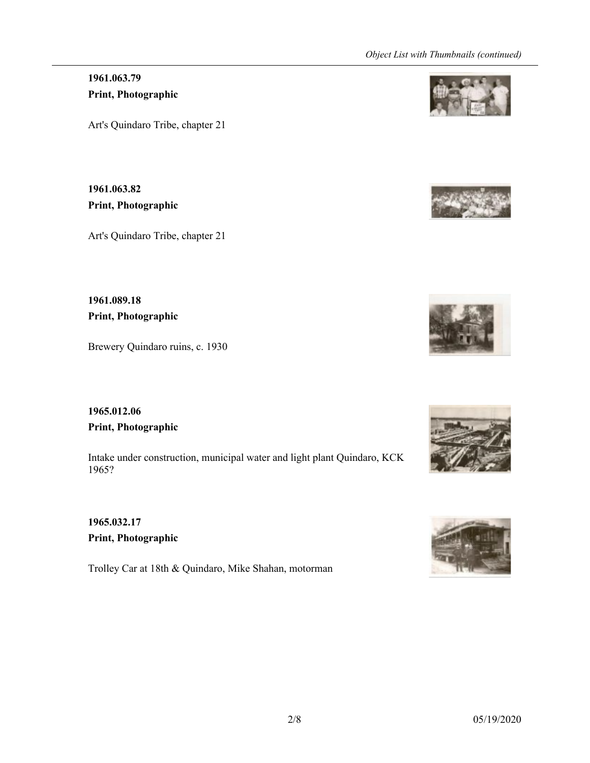# **1961.063.79 Print, Photographic**

Art's Quindaro Tribe, chapter 21

**1961.063.82 Print, Photographic**

Art's Quindaro Tribe, chapter 21

**1961.089.18 Print, Photographic**

Brewery Quindaro ruins, c. 1930

**1965.012.06 Print, Photographic**

Intake under construction, municipal water and light plant Quindaro, KCK 1965?

**1965.032.17 Print, Photographic**

Trolley Car at 18th & Quindaro, Mike Shahan, motorman









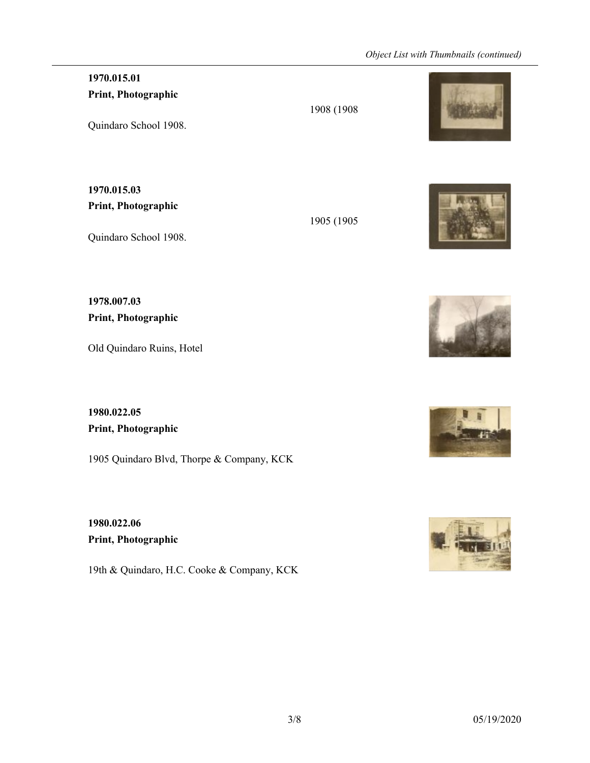### **1970.015.01 Print, Photographic**

Quindaro School 1908.

**1970.015.03 Print, Photographic**

Quindaro School 1908.

**1978.007.03 Print, Photographic**

Old Quindaro Ruins, Hotel

**1980.022.05 Print, Photographic**

1905 Quindaro Blvd, Thorpe & Company, KCK

**1980.022.06 Print, Photographic**

19th & Quindaro, H.C. Cooke & Company, KCK



1905 (1905







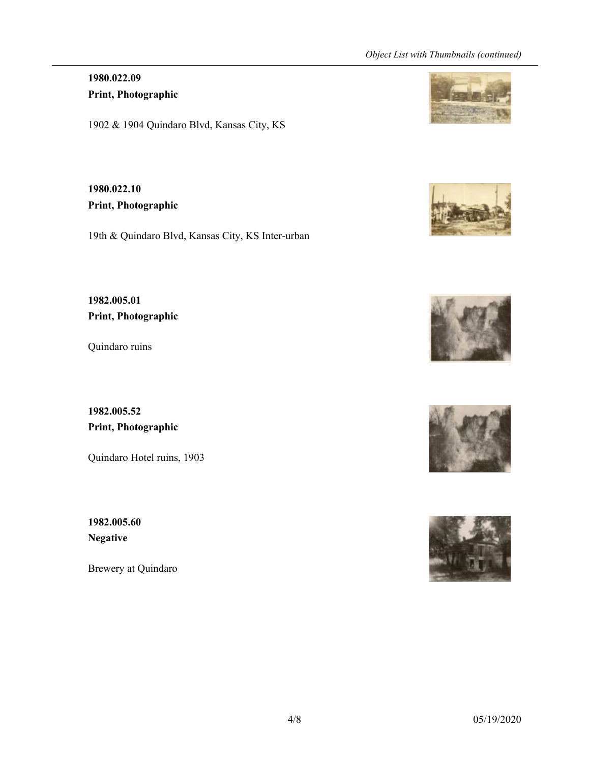## **1980.022.09 Print, Photographic**

1902 & 1904 Quindaro Blvd, Kansas City, KS

**1980.022.10 Print, Photographic**

19th & Quindaro Blvd, Kansas City, KS Inter-urban

**1982.005.01 Print, Photographic**

Quindaro ruins

**1982.005.52 Print, Photographic**

Quindaro Hotel ruins, 1903

**1982.005.60 Negative**

Brewery at Quindaro









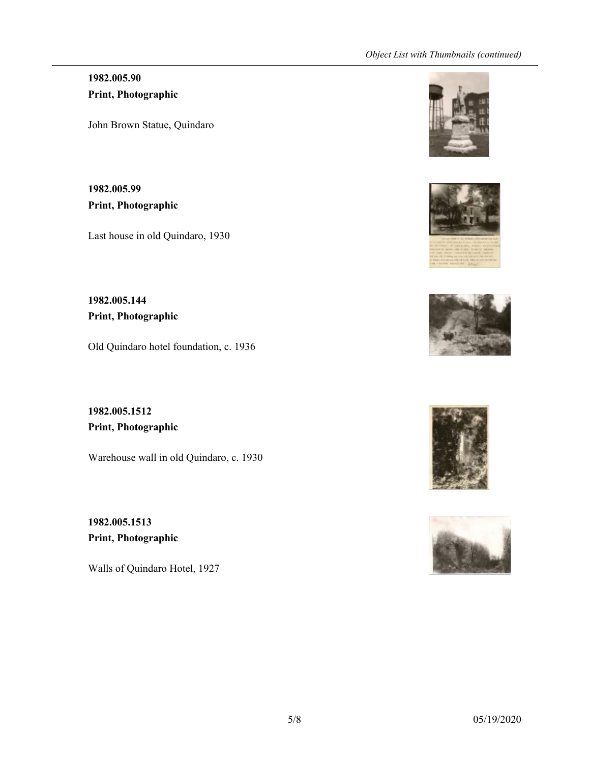### **1982.005.90 Print, Photographic**

John Brown Statue, Quindaro

**1982.005.99 Print, Photographic**

Last house in old Quindaro, 1930

**1982.005.144 Print, Photographic**

Old Quindaro hotel foundation, c. 1936

**1982.005.1512 Print, Photographic**

Warehouse wall in old Quindaro, c. 1930

**1982.005.1513 Print, Photographic**

Walls of Quindaro Hotel, 1927









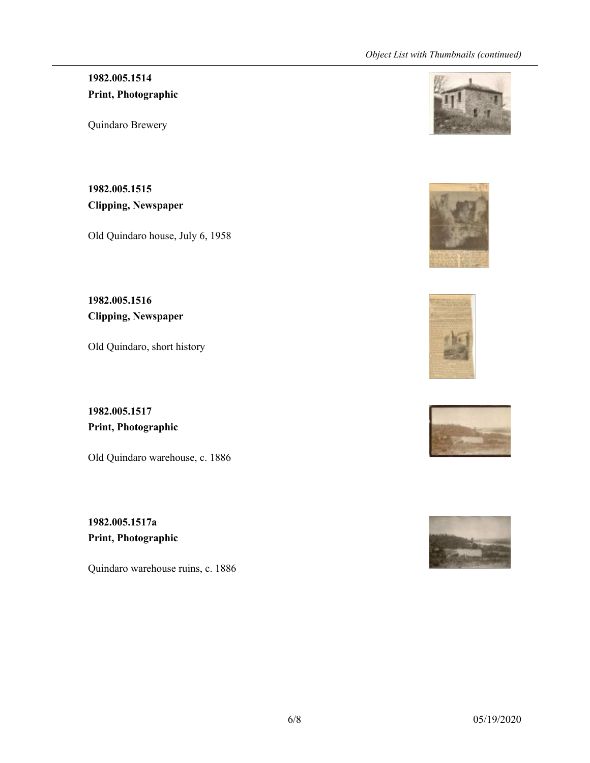# **1982.005.1514 Print, Photographic**

Quindaro Brewery

**1982.005.1515 Clipping, Newspaper**

Old Quindaro house, July 6, 1958

**1982.005.1516 Clipping, Newspaper**

Old Quindaro, short history

**1982.005.1517 Print, Photographic**

Old Quindaro warehouse, c. 1886

**1982.005.1517a Print, Photographic**

Quindaro warehouse ruins, c. 1886









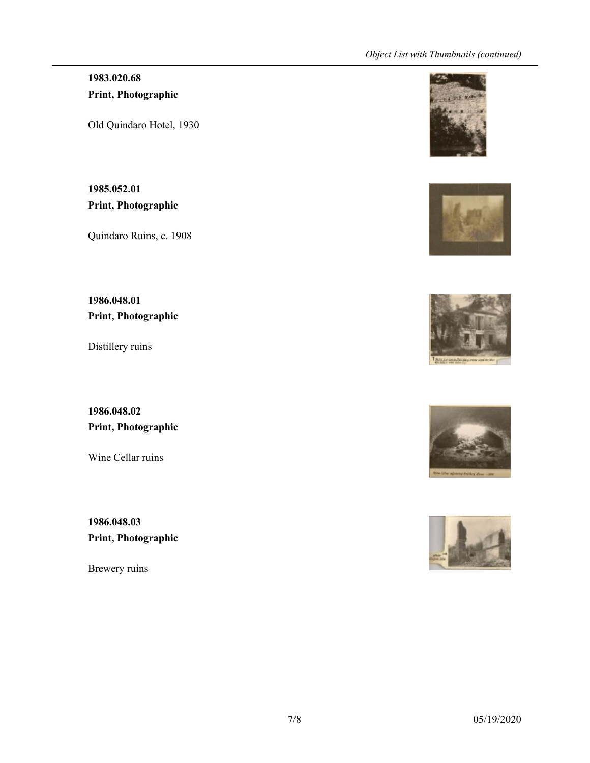## **1983.020.68 Print, Photographic**

Old Quindaro Hotel, 1930

**1985.052.01 Print, Photographic**

Quindaro Ruins, c. 1908

**1986.048.01 Print, Photographic**

Distillery ruins

**1986.048.02 Print, Photographic**

Wine Cellar ruins

**1986.048.03 Print, Photographic**

Brewery ruins